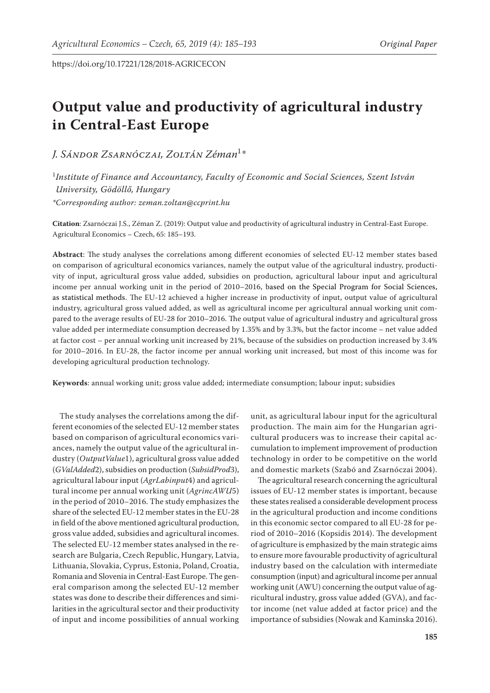# **Output value and productivity of agricultural industry in Central-East Europe**

*J. Sándor Zsarnóczai, Zoltán Zéman*<sup>1</sup> *\**

1 *Institute of Finance and Accountancy, Faculty of Economic and Social Sciences, Szent István University, Gödöllő, Hungary \*Corresponding author: zeman.zoltan@ccprint.hu*

**Citation**: Zsarnóczai J.S., Zéman Z. (2019): Output value and productivity of agricultural industry in Central-East Europe. Agricultural Economics – Czech, 65: 185–193.

**Abstract**: The study analyses the correlations among different economies of selected EU-12 member states based on comparison of agricultural economics variances, namely the output value of the agricultural industry, productivity of input, agricultural gross value added, subsidies on production, agricultural labour input and agricultural income per annual working unit in the period of 2010–2016, based on the Special Program for Social Sciences, as statistical methods. The EU-12 achieved a higher increase in productivity of input, output value of agricultural industry, agricultural gross valued added, as well as agricultural income per agricultural annual working unit compared to the average results of EU-28 for 2010–2016. The output value of agricultural industry and agricultural gross value added per intermediate consumption decreased by 1.35% and by 3.3%, but the factor income – net value added at factor cost – per annual working unit increased by 21%, because of the subsidies on production increased by 3.4% for 2010–2016. In EU-28, the factor income per annual working unit increased, but most of this income was for developing agricultural production technology.

**Keywords**: annual working unit; gross value added; intermediate consumption; labour input; subsidies

The study analyses the correlations among the different economies of the selected EU-12 member states based on comparison of agricultural economics variances, namely the output value of the agricultural industry (*OutputValue*1), agricultural gross value added (*GValAdded*2), subsidies on production (*SubsidProd*3), agricultural labour input (*AgrLabinput*4) and agricultural income per annual working unit (*AgrincAWU*5) in the period of 2010–2016. The study emphasizes the share of the selected EU-12 member states in the EU-28 in field of the above mentioned agricultural production, gross value added, subsidies and agricultural incomes. The selected EU-12 member states analysed in the research are Bulgaria, Czech Republic, Hungary, Latvia, Lithuania, Slovakia, Cyprus, Estonia, Poland, Croatia, Romania and Slovenia in Central-East Europe. The general comparison among the selected EU-12 member states was done to describe their differences and similarities in the agricultural sector and their productivity of input and income possibilities of annual working

unit, as agricultural labour input for the agricultural production. The main aim for the Hungarian agricultural producers was to increase their capital accumulation to implement improvement of production technology in order to be competitive on the world and domestic markets (Szabó and Zsarnóczai 2004).

The agricultural research concerning the agricultural issues of EU-12 member states is important, because these states realised a considerable development process in the agricultural production and income conditions in this economic sector compared to all EU-28 for period of 2010–2016 (Kopsidis 2014). The development of agriculture is emphasized by the main strategic aims to ensure more favourable productivity of agricultural industry based on the calculation with intermediate consumption (input) and agricultural income per annual working unit (AWU) concerning the output value of agricultural industry, gross value added (GVA), and factor income (net value added at factor price) and the importance of subsidies (Nowak and Kaminska 2016).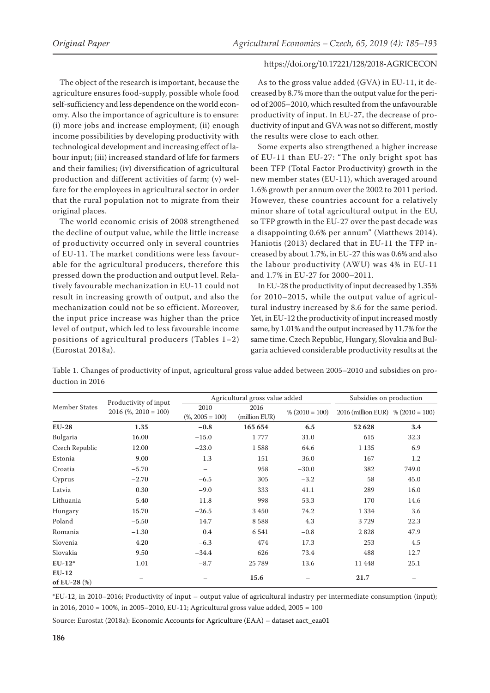The object of the research is important, because the agriculture ensures food-supply, possible whole food self-sufficiency and less dependence on the world economy. Also the importance of agriculture is to ensure: (i) more jobs and increase employment; (ii) enough income possibilities by developing productivity with technological development and increasing effect of labour input; (iii) increased standard of life for farmers and their families; (iv) diversification of agricultural production and different activities of farm; (v) welfare for the employees in agricultural sector in order that the rural population not to migrate from their original places.

The world economic crisis of 2008 strengthened the decline of output value, while the little increase of productivity occurred only in several countries of EU-11. The market conditions were less favourable for the agricultural producers, therefore this pressed down the production and output level. Relatively favourable mechanization in EU-11 could not result in increasing growth of output, and also the mechanization could not be so efficient. Moreover, the input price increase was higher than the price level of output, which led to less favourable income positions of agricultural producers (Tables 1–2) (Eurostat 2018a).

As to the gross value added (GVA) in EU-11, it decreased by 8.7% more than the output value for the period of 2005–2010, which resulted from the unfavourable productivity of input. In EU-27, the decrease of productivity of input and GVA was not so different, mostly the results were close to each other.

Some experts also strengthened a higher increase of EU-11 than EU-27: "The only bright spot has been TFP (Total Factor Productivity) growth in the new member states (EU-11), which averaged around 1.6% growth per annum over the 2002 to 2011 period. However, these countries account for a relatively minor share of total agricultural output in the EU, so TFP growth in the EU-27 over the past decade was a disappointing 0.6% per annum" (Matthews 2014). Haniotis (2013) declared that in EU-11 the TFP increased by about 1.7%, in EU-27 this was 0.6% and also the labour productivity (AWU) was 4% in EU-11 and 1.7% in EU-27 for 2000–2011.

In EU-28 the productivity of input decreased by 1.35% for 2010–2015, while the output value of agricultural industry increased by 8.6 for the same period. Yet, in EU-12 the productivity of input increased mostly same, by 1.01% and the output increased by 11.7% for the same time. Czech Republic, Hungary, Slovakia and Bulgaria achieved considerable productivity results at the

|                 |  |  | Table 1. Changes of productivity of input, agricultural gross value added between 2005-2010 and subsidies on pro- |  |
|-----------------|--|--|-------------------------------------------------------------------------------------------------------------------|--|
| duction in 2016 |  |  |                                                                                                                   |  |

|                            |                                                    | Agricultural gross value added |                       |                   | Subsidies on production             |         |
|----------------------------|----------------------------------------------------|--------------------------------|-----------------------|-------------------|-------------------------------------|---------|
| <b>Member States</b>       | Productivity of input<br>$2016$ (%, $2010 = 100$ ) | 2010<br>$(\% 2005 = 100)$      | 2016<br>(million EUR) | $\% (2010 = 100)$ | 2016 (million EUR) % $(2010 = 100)$ |         |
| <b>EU-28</b>               | 1.35                                               | $-0.8$                         | 165 654               | 6.5               | 52 628                              | 3.4     |
| Bulgaria                   | 16.00                                              | $-15.0$                        | 1777                  | 31.0              | 615                                 | 32.3    |
| Czech Republic             | 12.00                                              | $-23.0$                        | 1588                  | 64.6              | 1 1 3 5                             | 6.9     |
| Estonia                    | $-9.00$                                            | $-1.3$                         | 151                   | $-36.0$           | 167                                 | 1.2     |
| Croatia                    | $-5.70$                                            |                                | 958                   | $-30.0$           | 382                                 | 749.0   |
| Cyprus                     | $-2.70$                                            | $-6.5$                         | 305                   | $-3.2$            | 58                                  | 45.0    |
| Latvia                     | 0.30                                               | $-9.0$                         | 333                   | 41.1              | 289                                 | 16.0    |
| Lithuania                  | 5.40                                               | 11.8                           | 998                   | 53.3              | 170                                 | $-14.6$ |
| Hungary                    | 15.70                                              | $-26.5$                        | 3 4 5 0               | 74.2              | 1 3 3 4                             | 3.6     |
| Poland                     | $-5.50$                                            | 14.7                           | 8588                  | 4.3               | 3729                                | 22.3    |
| Romania                    | $-1.30$                                            | 0.4                            | 6541                  | $-0.8$            | 2828                                | 47.9    |
| Slovenia                   | 4.20                                               | $-6.3$                         | 474                   | 17.3              | 253                                 | 4.5     |
| Slovakia                   | 9.50                                               | $-34.4$                        | 626                   | 73.4              | 488                                 | 12.7    |
| $EU-12*$                   | 1.01                                               | $-8.7$                         | 25 789                | 13.6              | 11 4 48                             | 25.1    |
| $EU-12$<br>of EU-28 $(\%)$ |                                                    |                                | 15.6                  |                   | 21.7                                |         |

\*EU-12, in 2010–2016; Productivity of input – output value of agricultural industry per intermediate consumption (input); in 2016, 2010 = 100%, in 2005–2010, EU-11; Agricultural gross value added, 2005 = 100

Source: Eurostat (2018a): Economic Accounts for Agriculture (EAA) – dataset aact\_eaa01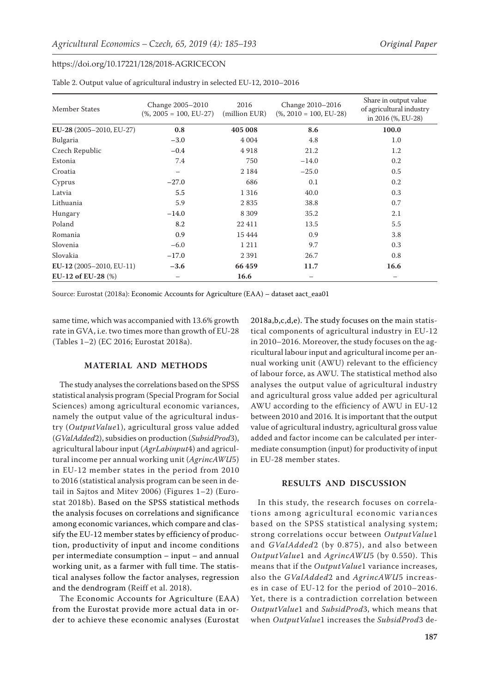| Member States            | Change 2005-2010<br>$(\%$ , 2005 = 100, EU-27) | 2016<br>(million EUR) | Change 2010-2016<br>$(\%$ , 2010 = 100, EU-28) | Share in output value<br>of agricultural industry<br>in 2016 (%, EU-28) |
|--------------------------|------------------------------------------------|-----------------------|------------------------------------------------|-------------------------------------------------------------------------|
| EU-28 (2005-2010, EU-27) | 0.8                                            | 405 008               | 8.6                                            | 100.0                                                                   |
| Bulgaria                 | $-3.0$                                         | 4 0 0 4               | 4.8                                            | 1.0                                                                     |
| Czech Republic           | $-0.4$                                         | 4918                  | 21.2                                           | 1.2                                                                     |
| Estonia                  | 7.4                                            | 750                   | $-14.0$                                        | 0.2                                                                     |
| Croatia                  | —                                              | 2 1 8 4               | $-25.0$                                        | 0.5                                                                     |
| Cyprus                   | $-27.0$                                        | 686                   | 0.1                                            | 0.2                                                                     |
| Latvia                   | 5.5                                            | 1 3 1 6               | 40.0                                           | 0.3                                                                     |
| Lithuania                | 5.9                                            | 2835                  | 38.8                                           | 0.7                                                                     |
| Hungary                  | $-14.0$                                        | 8 3 0 9               | 35.2                                           | 2.1                                                                     |
| Poland                   | 8.2                                            | 22 411                | 13.5                                           | 5.5                                                                     |
| Romania                  | 0.9                                            | 15 4 4 4              | 0.9                                            | 3.8                                                                     |
| Slovenia                 | $-6.0$                                         | 1 2 1 1               | 9.7                                            | 0.3                                                                     |
| Slovakia                 | $-17.0$                                        | 2 3 9 1               | 26.7                                           | 0.8                                                                     |
| EU-12 (2005-2010, EU-11) | $-3.6$                                         | 66459                 | 11.7                                           | 16.6                                                                    |
| EU-12 of EU-28 $(\%)$    |                                                | 16.6                  |                                                |                                                                         |

Table 2. Output value of agricultural industry in selected EU-12, 2010–2016

Source: Eurostat (2018a): Economic Accounts for Agriculture (EAA) – dataset aact\_eaa01

same time, which was accompanied with 13.6% growth rate in GVA, i.e. two times more than growth of EU-28 (Tables 1–2) (EC 2016; Eurostat 2018a).

# **MATERIAL AND METHODS**

The study analyses the correlations based on the SPSS statistical analysis program (Special Program for Social Sciences) among agricultural economic variances, namely the output value of the agricultural industry (*OutputValue*1), agricultural gross value added (*GValAdded*2), subsidies on production (*SubsidProd*3), agricultural labour input (*AgrLabinput*4) and agricultural income per annual working unit (*AgrincAWU*5) in EU-12 member states in the period from 2010 to 2016 (statistical analysis program can be seen in detail in Sajtos and Mitev 2006) (Figures 1–2) (Eurostat 2018b). Based on the SPSS statistical methods the analysis focuses on correlations and significance among economic variances, which compare and classify the EU-12 member states by efficiency of production, productivity of input and income conditions per intermediate consumption – input – and annual working unit, as a farmer with full time. The statistical analyses follow the factor analyses, regression and the dendrogram (Reiff et al. 2018).

The Economic Accounts for Agriculture (EAA) from the Eurostat provide more actual data in order to achieve these economic analyses (Eurostat 2018a,b,c,d,e). The study focuses on the main statistical components of agricultural industry in EU-12 in 2010–2016. Moreover, the study focuses on the agricultural labour input and agricultural income per annual working unit (AWU) relevant to the efficiency of labour force, as AWU. The statistical method also analyses the output value of agricultural industry and agricultural gross value added per agricultural AWU according to the efficiency of AWU in EU-12 between 2010 and 2016*.* It is important that the output value of agricultural industry, agricultural gross value added and factor income can be calculated per intermediate consumption (input) for productivity of input in EU-28 member states.

# **RESULTS AND DISCUSSION**

In this study, the research focuses on correlations among agricultural economic variances based on the SPSS statistical analysing system; strong correlations occur between *OutputValue*1 and *GValAdded*2 (by 0.875), and also between *OutputValue*1 and *AgrincAWU*5 (by 0.550). This means that if the *OutputValue*1 variance increases, also the *GValAdded*2 and *AgrincAWU*5 increases in case of EU-12 for the period of 2010–2016. Yet, there is a contradiction correlation between *OutputValue*1 and *SubsidProd*3, which means that when *OutputValue*1 increases the *SubsidProd*3 de-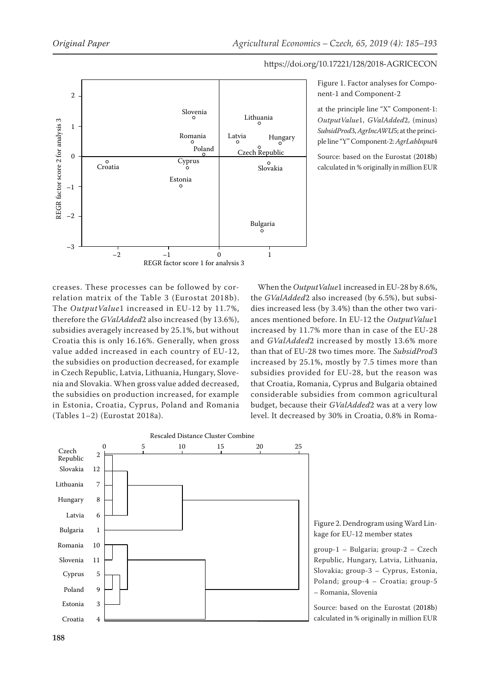

Figure 1. Factor analyses for Component-1 and Component-2

at the principle line "X" Component-1: *OutputValue*1, *GValAdded*2, (minus) *SubsidProd*3, *AgrIncAWU*5; at the principle line "Y" Component-2: *AgrLabInput*4

Source: based on the Eurostat (2018b) calculated in % originally in million EUR

creases. These processes can be followed by correlation matrix of the Table 3 (Eurostat 2018b). The *OutputValue*1 increased in EU-12 by 11.7%, therefore the *GValAdded*2 also increased (by 13.6%), subsidies averagely increased by 25.1%, but without Croatia this is only 16.16%. Generally, when gross value added increased in each country of EU-12, the subsidies on production decreased, for example in Czech Republic, Latvia, Lithuania, Hungary, Slovenia and Slovakia. When gross value added decreased, the subsidies on production increased, for example in Estonia, Croatia, Cyprus, Poland and Romania (Tables 1–2) (Eurostat 2018a).

When the *OutputValue*1 increased in EU-28 by 8.6%, the *GValAdded*2 also increased (by 6.5%), but subsidies increased less (by 3.4%) than the other two variances mentioned before. In EU-12 the *OutputValue*1 increased by 11.7% more than in case of the EU-28 and *GValAdded*2 increased by mostly 13.6% more than that of EU-28 two times more. The *SubsidProd*3 increased by 25.1%, mostly by 7.5 times more than subsidies provided for EU-28, but the reason was that Croatia, Romania, Cyprus and Bulgaria obtained considerable subsidies from common agricultural budget, because their *GValAdded*2 was at a very low level. It decreased by 30% in Croatia, 0.8% in Roma-



Figure 2. Dendrogram using Ward Linkage for EU-12 member states

group-1 – Bulgaria; group-2 – Czech Republic, Hungary, Latvia, Lithuania, Slovakia; group-3 – Cyprus, Estonia, Poland; group-4 – Croatia; group-5 – Romania, Slovenia

Source: based on the Eurostat (2018b) calculated in % originally in million EUR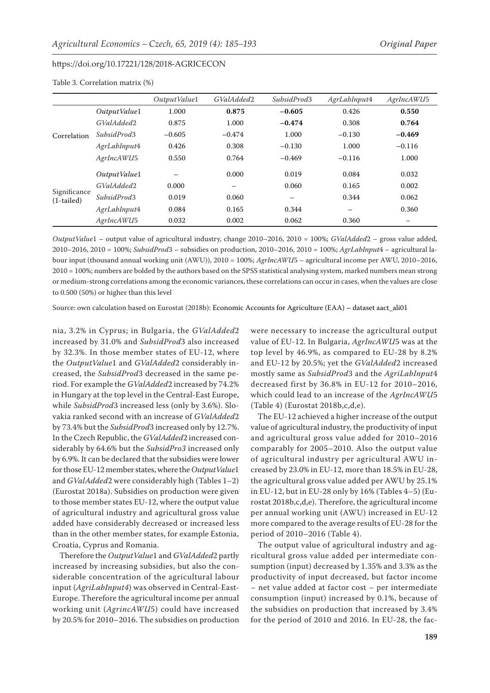|                              |               | Output Value1 | GValAdded2               | SubsidProd3 | AgrLabInput4 | AgrIncAWU5 |
|------------------------------|---------------|---------------|--------------------------|-------------|--------------|------------|
|                              | Output Value1 | 1.000         | 0.875                    | $-0.605$    | 0.426        | 0.550      |
|                              | GValAdded2    | 0.875         | 1.000                    | $-0.474$    | 0.308        | 0.764      |
| Correlation                  | SubsidProd3   | $-0.605$      | $-0.474$                 | 1.000       | $-0.130$     | $-0.469$   |
|                              | AgrLabInput4  | 0.426         | 0.308                    | $-0.130$    | 1.000        | $-0.116$   |
|                              | AgrIncAWU5    | 0.550         | 0.764                    | $-0.469$    | $-0.116$     | 1.000      |
|                              | Output Value1 |               | 0.000                    | 0.019       | 0.084        | 0.032      |
|                              | GValAdded2    | 0.000         | $\overline{\phantom{0}}$ | 0.060       | 0.165        | 0.002      |
| Significance<br>$(1-tailed)$ | SubsidProd3   | 0.019         | 0.060                    |             | 0.344        | 0.062      |
|                              | AgrLabInput4  | 0.084         | 0.165                    | 0.344       | -            | 0.360      |
|                              | AgrIncAWU5    | 0.032         | 0.002                    | 0.062       | 0.360        |            |

# Table 3. Correlation matrix (%)

*OutputValue*1 – output value of agricultural industry, change 2010–2016, 2010 = 100%; *GValAdded*2 – gross value added, 2010–2016, 2010 = 100%; *SubsidProd*3 – subsidies on production, 2010–2016, 2010 = 100%; *AgrLabInput*4 – agricultural labour input (thousand annual working unit (AWU)), 2010 = 100%; *AgrIncAWU*5 – agricultural income per AWU, 2010–2016, 2010 = 100%; numbers are bolded by the authors based on the SPSS statistical analysing system, marked numbers mean strong or medium-strong correlations among the economic variances, these correlations can occur in cases, when the values are close to 0.500 (50%) or higher than this level

Source: own calculation based on Eurostat (2018b): Economic Accounts for Agriculture (EAA) – dataset aact\_ali01

nia, 3.2% in Cyprus; in Bulgaria, the *GValAdded*2 increased by 31.0% and *SubsidProd*3 also increased by 32.3%. In those member states of EU-12, where the *OutputValue*1 and *GValAdded*2 considerably increased, the *SubsidProd*3 decreased in the same period. For example the *GValAdded*2 increased by 74.2% in Hungary at the top level in the Central-East Europe, while *SubsidProd*3 increased less (only by 3.6%). Slovakia ranked second with an increase of *GValAdded*2 by 73.4% but the *SubsidProd*3 increased only by 12.7%. In the Czech Republic, the *GValAdded*2 increased considerably by 64.6% but the *SubsidPro3* increased only by 6.9%. It can be declared that the subsidies were lower for those EU-12 member states, where the *OutputValue*1 and *GValAdded*2 were considerably high (Tables 1–2) (Eurostat 2018a). Subsidies on production were given to those member states EU-12, where the output value of agricultural industry and agricultural gross value added have considerably decreased or increased less than in the other member states, for example Estonia, Croatia, Cyprus and Romania.

Therefore the *OutputValue*1 and *GValAdded*2 partly increased by increasing subsidies, but also the considerable concentration of the agricultural labour input (*AgriLabInput4*) was observed in Central-East-Europe. Therefore the agricultural income per annual working unit (*AgrincAWU*5) could have increased by 20.5% for 2010–2016. The subsidies on production were necessary to increase the agricultural output value of EU-12. In Bulgaria, *AgrIncAWU*5 was at the top level by 46.9%, as compared to EU-28 by 8.2% and EU-12 by 20.5%; yet the *GValAdded*2 increased mostly same as *SubsidProd*3 and the *AgriLabInput*4 decreased first by 36.8% in EU-12 for 2010–2016, which could lead to an increase of the *AgrIncAWU*5 (Table 4) (Eurostat 2018b,c,d,e).

The EU-12 achieved a higher increase of the output value of agricultural industry, the productivity of input and agricultural gross value added for 2010–2016 comparably for 2005–2010. Also the output value of agricultural industry per agricultural AWU increased by 23.0% in EU-12, more than 18.5% in EU-28, the agricultural gross value added per AWU by 25.1% in EU-12, but in EU-28 only by 16% (Tables 4–5) (Eurostat 2018b,c,d,e). Therefore, the agricultural income per annual working unit (AWU) increased in EU-12 more compared to the average results of EU-28 for the period of 2010–2016 (Table 4).

The output value of agricultural industry and agricultural gross value added per intermediate consumption (input) decreased by 1.35% and 3.3% as the productivity of input decreased, but factor income – net value added at factor cost – per intermediate consumption (input) increased by 0.1%, because of the subsidies on production that increased by 3.4% for the period of 2010 and 2016. In EU-28, the fac-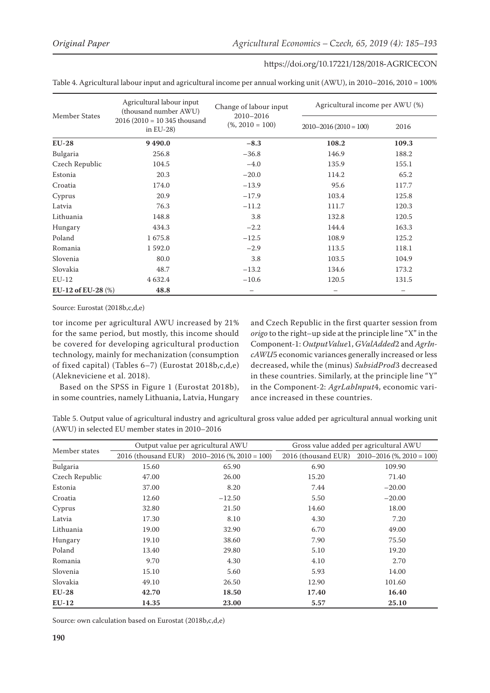| Member States         | Agricultural labour input<br>(thousand number AWU) | Change of labour input<br>2010-2016 | Agricultural income per AWU (%) |       |  |
|-----------------------|----------------------------------------------------|-------------------------------------|---------------------------------|-------|--|
|                       | $2016 (2010 = 10345$ thousand<br>in EU-28)         | $(\%$ , 2010 = 100)                 | $2010 - 2016(2010 = 100)$       | 2016  |  |
| $EU-28$               | 9490.0                                             | $-8.3$                              | 108.2                           | 109.3 |  |
| Bulgaria              | 256.8                                              | $-36.8$                             | 146.9                           | 188.2 |  |
| Czech Republic        | 104.5                                              | $-4.0$                              | 135.9                           | 155.1 |  |
| Estonia               | 20.3                                               | $-20.0$                             | 114.2                           | 65.2  |  |
| Croatia               | 174.0                                              | $-13.9$                             | 95.6                            | 117.7 |  |
| Cyprus                | 20.9                                               | $-17.9$                             | 103.4                           | 125.8 |  |
| Latvia                | 76.3                                               | $-11.2$                             | 111.7                           | 120.3 |  |
| Lithuania             | 148.8                                              | 3.8                                 | 132.8                           | 120.5 |  |
| Hungary               | 434.3                                              | $-2.2$                              | 144.4                           | 163.3 |  |
| Poland                | 1675.8                                             | $-12.5$                             | 108.9                           | 125.2 |  |
| Romania               | 1592.0                                             | $-2.9$                              | 113.5                           | 118.1 |  |
| Slovenia              | 80.0                                               | 3.8                                 | 103.5                           | 104.9 |  |
| Slovakia              | 48.7                                               | $-13.2$                             | 134.6                           | 173.2 |  |
| $EU-12$               | 4 6 3 2.4                                          | $-10.6$                             | 120.5                           | 131.5 |  |
| EU-12 of EU-28 $(\%)$ | 48.8                                               | $\overline{\phantom{m}}$            |                                 |       |  |

Table 4. Agricultural labour input and agricultural income per annual working unit (AWU), in 2010–2016, 2010 = 100%

Source: Eurostat (2018b,c,d,e)

tor income per agricultural AWU increased by 21% for the same period, but mostly, this income should be covered for developing agricultural production technology, mainly for mechanization (consumption of fixed capital) (Tables 6–7) (Eurostat 2018b,c,d,e) (Alekneviciene et al. 2018).

Based on the SPSS in Figure 1 (Eurostat 2018b), in some countries, namely Lithuania, Latvia, Hungary and Czech Republic in the first quarter session from *origo* to the right–up side at the principle line "X" in the Component-1: *OutputValue*1, *GValAdded*2 and *AgrIncAWU*5 economic variances generally increased or less decreased, while the (minus) *SubsidProd*3 decreased in these countries. Similarly, at the principle line "Y" in the Component-2: *AgrLabInput*4, economic variance increased in these countries.

Table 5. Output value of agricultural industry and agricultural gross value added per agricultural annual working unit (AWU) in selected EU member states in 2010–2016

|                |       | Output value per agricultural AWU                  | Gross value added per agricultural AWU |                                               |  |
|----------------|-------|----------------------------------------------------|----------------------------------------|-----------------------------------------------|--|
| Member states  |       | 2016 (thousand EUR) $2010-2016$ (%, $2010 = 100$ ) |                                        | 2016 (thousand EUR) 2010-2016 (%, 2010 = 100) |  |
| Bulgaria       | 15.60 | 65.90                                              | 6.90                                   | 109.90                                        |  |
| Czech Republic | 47.00 | 26.00                                              | 15.20                                  | 71.40                                         |  |
| Estonia        | 37.00 | 8.20                                               | 7.44                                   | $-20.00$                                      |  |
| Croatia        | 12.60 | $-12.50$                                           | 5.50                                   | $-20.00$                                      |  |
| Cyprus         | 32.80 | 21.50                                              | 14.60                                  | 18.00                                         |  |
| Latvia         | 17.30 | 8.10                                               | 4.30                                   | 7.20                                          |  |
| Lithuania      | 19.00 | 32.90                                              | 6.70                                   | 49.00                                         |  |
| Hungary        | 19.10 | 38.60                                              | 7.90                                   | 75.50                                         |  |
| Poland         | 13.40 | 29.80                                              | 5.10                                   | 19.20                                         |  |
| Romania        | 9.70  | 4.30                                               | 4.10                                   | 2.70                                          |  |
| Slovenia       | 15.10 | 5.60                                               | 5.93                                   | 14.00                                         |  |
| Slovakia       | 49.10 | 26.50                                              | 12.90                                  | 101.60                                        |  |
| $EU-28$        | 42.70 | 18.50                                              | 17.40                                  | 16.40                                         |  |
| $EU-12$        | 14.35 | 23.00                                              | 5.57                                   | 25.10                                         |  |

Source: own calculation based on Eurostat (2018b,c,d,e)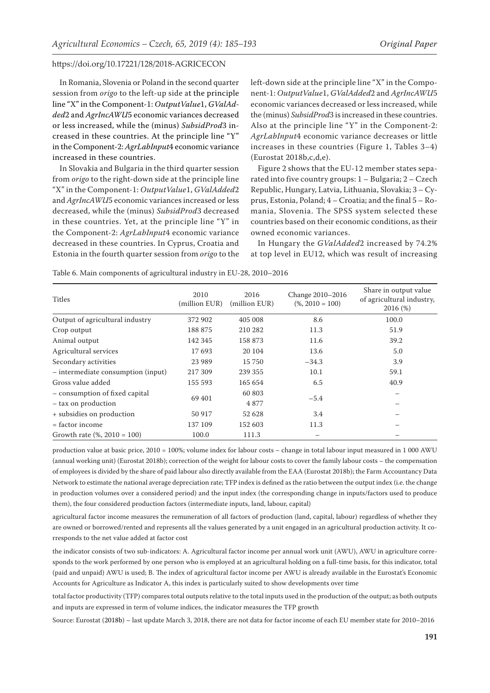In Romania, Slovenia or Poland in the second quarter session from *origo* to the left-up side at the principle line "X" in the Component-1: *OutputValue*1, *GValAdded*2 and *AgrIncAWU*5 economic variances decreased or less increased, while the (minus) *SubsidProd*3 increased in these countries. At the principle line "Y" in the Component-2: *AgrLabInput*4 economic variance increased in these countries.

In Slovakia and Bulgaria in the third quarter session from *origo* to the right-down side at the principle line "X" in the Component-1: *OutputValue*1, *GValAdded*2 and *AgrIncAWU*5 economic variances increased or less decreased, while the (minus) *SubsidProd*3 decreased in these countries. Yet, at the principle line "Y" in the Component-2: *AgrLabInput*4 economic variance decreased in these countries. In Cyprus, Croatia and Estonia in the fourth quarter session from *origo* to the

left-down side at the principle line "X" in the Component-1: *OutputValue*1, *GValAdded*2 and *AgrIncAWU*5 economic variances decreased or less increased, while the (minus) *SubsidProd*3 is increased in these countries. Also at the principle line "Y" in the Component-2: *AgrLabInput*4 economic variance decreases or little increases in these countries (Figure 1, Tables 3–4) (Eurostat 2018b,c,d,e).

Figure 2 shows that the EU-12 member states separated into five country groups: 1 – Bulgaria; 2 – Czech Republic, Hungary, Latvia, Lithuania, Slovakia; 3 – Cyprus, Estonia, Poland; 4 – Croatia; and the final 5 – Romania, Slovenia. The SPSS system selected these countries based on their economic conditions, as their owned economic variances.

In Hungary the *GValAdded*2 increased by 74.2% at top level in EU12, which was result of increasing

Table 6. Main components of agricultural industry in EU-28, 2010–2016

| Titles                             | 2010<br>(million EUR) | 2016<br>(million EUR) | Change 2010-2016<br>$(\% 2010 = 100)$ | Share in output value<br>of agricultural industry,<br>2016(%) |
|------------------------------------|-----------------------|-----------------------|---------------------------------------|---------------------------------------------------------------|
| Output of agricultural industry    | 372 902               | 405 008               | 8.6                                   | 100.0                                                         |
| Crop output                        | 188 875               | 210 282               | 11.3                                  | 51.9                                                          |
| Animal output                      | 142 345               | 158 873               | 11.6                                  | 39.2                                                          |
| Agricultural services              | 17693                 | 20 104                | 13.6                                  | 5.0                                                           |
| Secondary activities               | 23 9 89               | 15 750                | $-34.3$                               | 3.9                                                           |
| - intermediate consumption (input) | 217 309               | 239 355               | 10.1                                  | 59.1                                                          |
| Gross value added                  | 155 593               | 165 654               | 6.5                                   | 40.9                                                          |
| - consumption of fixed capital     | 69 401                | 60 803                | $-5.4$                                |                                                               |
| - tax on production                |                       | 4877                  |                                       |                                                               |
| + subsidies on production          | 50 917                | 52 628                | 3.4                                   |                                                               |
| $=$ factor income                  | 137 109               | 152 603               | 11.3                                  |                                                               |
| Growth rate $(\%$ , 2010 = 100)    | 100.0                 | 111.3                 |                                       |                                                               |

production value at basic price, 2010 = 100%; volume index for labour costs – change in total labour input measured in 1 000 AWU (annual working unit) (Eurostat 2018b); correction of the weight for labour costs to cover the family labour costs – the compensation of employees is divided by the share of paid labour also directly available from the EAA (Eurostat 2018b); the Farm Accountancy Data Network to estimate the national average depreciation rate; TFP index is defined as the ratio between the output index (i.e. the change in production volumes over a considered period) and the input index (the corresponding change in inputs/factors used to produce them), the four considered production factors (intermediate inputs, land, labour, capital)

agricultural factor income measures the remuneration of all factors of production (land, capital, labour) regardless of whether they are owned or borrowed/rented and represents all the values generated by a unit engaged in an agricultural production activity. It corresponds to the net value added at factor cost

the indicator consists of two sub-indicators: A. Agricultural factor income per annual work unit (AWU), AWU in agriculture corresponds to the work performed by one person who is employed at an agricultural holding on a full-time basis, for this indicator, total (paid and unpaid) AWU is used; B. The index of agricultural factor income per AWU is already available in the Eurostat's Economic Accounts for Agriculture as Indicator A, this index is particularly suited to show developments over time

total factor productivity (TFP) compares total outputs relative to the total inputs used in the production of the output; as both outputs and inputs are expressed in term of volume indices, the indicator measures the TFP growth

Source: Eurostat (2018b) – last update March 3, 2018, there are not data for factor income of each EU member state for 2010–2016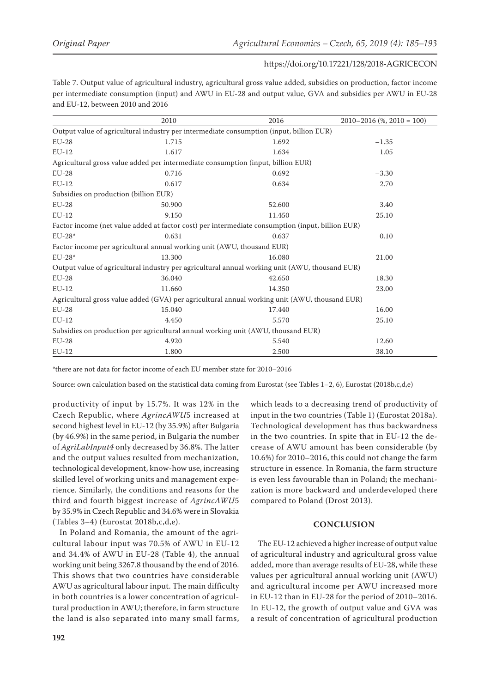Table 7. Output value of agricultural industry, agricultural gross value added, subsidies on production, factor income per intermediate consumption (input) and AWU in EU-28 and output value, GVA and subsidies per AWU in EU-28 and EU-12, between 2010 and 2016

|                                                                                                  | 2010                                                                             | 2016   | $2010 - 2016$ (%, $2010 = 100$ ) |  |  |
|--------------------------------------------------------------------------------------------------|----------------------------------------------------------------------------------|--------|----------------------------------|--|--|
| Output value of agricultural industry per intermediate consumption (input, billion EUR)          |                                                                                  |        |                                  |  |  |
| $EU-28$                                                                                          | 1.715                                                                            | 1.692  | $-1.35$                          |  |  |
| $EU-12$                                                                                          | 1.617                                                                            | 1.634  | 1.05                             |  |  |
|                                                                                                  | Agricultural gross value added per intermediate consumption (input, billion EUR) |        |                                  |  |  |
| $EU-28$                                                                                          | 0.716                                                                            | 0.692  | $-3.30$                          |  |  |
| $EU-12$                                                                                          | 0.617                                                                            | 0.634  | 2.70                             |  |  |
| Subsidies on production (billion EUR)                                                            |                                                                                  |        |                                  |  |  |
| $EU-28$                                                                                          | 50.900                                                                           | 52.600 | 3.40                             |  |  |
| $EU-12$                                                                                          | 9.150                                                                            | 11.450 | 25.10                            |  |  |
| Factor income (net value added at factor cost) per intermediate consumption (input, billion EUR) |                                                                                  |        |                                  |  |  |
| $EU-28*$                                                                                         | 0.631                                                                            | 0.637  | 0.10                             |  |  |
|                                                                                                  | Factor income per agricultural annual working unit (AWU, thousand EUR)           |        |                                  |  |  |
| $EU-28*$                                                                                         | 13.300                                                                           | 16.080 | 21.00                            |  |  |
| Output value of agricultural industry per agricultural annual working unit (AWU, thousand EUR)   |                                                                                  |        |                                  |  |  |
| $EU-28$                                                                                          | 36.040                                                                           | 42.650 | 18.30                            |  |  |
| $EU-12$                                                                                          | 11.660                                                                           | 14.350 | 23.00                            |  |  |
| Agricultural gross value added (GVA) per agricultural annual working unit (AWU, thousand EUR)    |                                                                                  |        |                                  |  |  |
| $EU-28$                                                                                          | 15.040                                                                           | 17.440 | 16.00                            |  |  |
| $EU-12$                                                                                          | 4.450                                                                            | 5.570  | 25.10                            |  |  |
| Subsidies on production per agricultural annual working unit (AWU, thousand EUR)                 |                                                                                  |        |                                  |  |  |
| $EU-28$                                                                                          | 4.920                                                                            | 5.540  | 12.60                            |  |  |
| $EU-12$                                                                                          | 1.800                                                                            | 2.500  | 38.10                            |  |  |

\*there are not data for factor income of each EU member state for 2010–2016

Source: own calculation based on the statistical data coming from Eurostat (see Tables 1–2, 6), Eurostat (2018b,c,d,e)

productivity of input by 15.7%. It was 12% in the Czech Republic, where *AgrincAWU*5 increased at second highest level in EU-12 (by 35.9%) after Bulgaria (by 46.9%) in the same period, in Bulgaria the number of *AgriLabInput4* only decreased by 36.8%. The latter and the output values resulted from mechanization, technological development, know-how use, increasing skilled level of working units and management experience. Similarly, the conditions and reasons for the third and fourth biggest increase of *AgrincAWU*5 by 35.9% in Czech Republic and 34.6% were in Slovakia (Tables 3–4) (Eurostat 2018b,c,d,e).

In Poland and Romania, the amount of the agricultural labour input was 70.5% of AWU in EU-12 and 34.4% of AWU in EU-28 (Table 4), the annual working unit being 3267.8 thousand by the end of 2016. This shows that two countries have considerable AWU as agricultural labour input. The main difficulty in both countries is a lower concentration of agricultural production in AWU; therefore, in farm structure the land is also separated into many small farms, which leads to a decreasing trend of productivity of input in the two countries (Table 1) (Eurostat 2018a). Technological development has thus backwardness in the two countries. In spite that in EU-12 the decrease of AWU amount has been considerable (by 10.6%) for 2010–2016, this could not change the farm structure in essence. In Romania, the farm structure is even less favourable than in Poland; the mechanization is more backward and underdeveloped there compared to Poland (Drost 2013).

#### **CONCLUSION**

The EU-12 achieved a higher increase of output value of agricultural industry and agricultural gross value added, more than average results of EU-28, while these values per agricultural annual working unit (AWU) and agricultural income per AWU increased more in EU-12 than in EU-28 for the period of 2010–2016. In EU-12, the growth of output value and GVA was a result of concentration of agricultural production